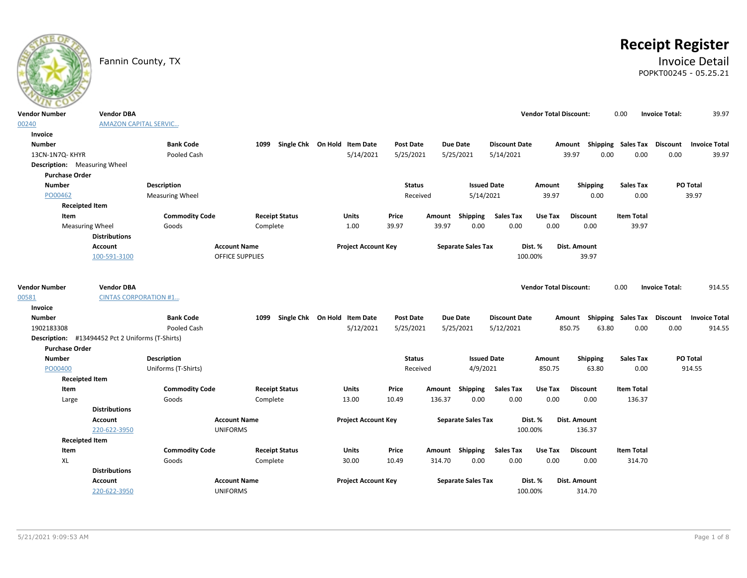# **Receipt Register**

# Fannin County, TX **Invoice Detail** POPKT00245 - 05.25.21

| <b>Vendor Number</b>                             | <b>Vendor DBA</b>            |                        |                        |                              |                            |                  |        |                           |                      | <b>Vendor Total Discount:</b> |                                    | 0.00  |                   | <b>Invoice Total:</b> | 39.97                |
|--------------------------------------------------|------------------------------|------------------------|------------------------|------------------------------|----------------------------|------------------|--------|---------------------------|----------------------|-------------------------------|------------------------------------|-------|-------------------|-----------------------|----------------------|
| 00240                                            | <b>AMAZON CAPITAL SERVIC</b> |                        |                        |                              |                            |                  |        |                           |                      |                               |                                    |       |                   |                       |                      |
| Invoice                                          |                              |                        |                        |                              |                            |                  |        |                           |                      |                               |                                    |       |                   |                       |                      |
| <b>Number</b>                                    |                              | <b>Bank Code</b>       | 1099                   | Single Chk On Hold Item Date |                            | <b>Post Date</b> |        | <b>Due Date</b>           | <b>Discount Date</b> |                               | Amount Shipping Sales Tax          |       |                   | <b>Discount</b>       | <b>Invoice Total</b> |
| 13CN-1N7Q-KHYR                                   |                              | Pooled Cash            |                        |                              | 5/14/2021                  | 5/25/2021        |        | 5/25/2021                 | 5/14/2021            |                               | 39.97                              | 0.00  | 0.00              | 0.00                  | 39.97                |
| <b>Description:</b> Measuring Wheel              |                              |                        |                        |                              |                            |                  |        |                           |                      |                               |                                    |       |                   |                       |                      |
| <b>Purchase Order</b>                            |                              |                        |                        |                              |                            |                  |        |                           |                      |                               |                                    |       |                   |                       |                      |
| <b>Number</b>                                    |                              | Description            |                        |                              |                            | <b>Status</b>    |        |                           | <b>Issued Date</b>   | Amount                        | <b>Shipping</b>                    |       | <b>Sales Tax</b>  |                       | PO Total             |
| PO00462                                          |                              | <b>Measuring Wheel</b> |                        |                              |                            | Received         |        | 5/14/2021                 |                      | 39.97                         | 0.00                               |       | 0.00              |                       | 39.97                |
| <b>Receipted Item</b>                            |                              |                        |                        |                              |                            |                  |        |                           |                      |                               |                                    |       |                   |                       |                      |
| Item                                             |                              | <b>Commodity Code</b>  |                        | <b>Receipt Status</b>        | Units                      | Price            | Amount | Shipping                  | <b>Sales Tax</b>     | Use Tax                       | <b>Discount</b>                    |       | <b>Item Total</b> |                       |                      |
| <b>Measuring Wheel</b>                           |                              | Goods                  | Complete               |                              | 1.00                       | 39.97            | 39.97  | 0.00                      | 0.00                 | 0.00                          | 0.00                               |       | 39.97             |                       |                      |
|                                                  | <b>Distributions</b>         |                        |                        |                              |                            |                  |        |                           |                      |                               |                                    |       |                   |                       |                      |
|                                                  | <b>Account</b>               |                        | <b>Account Name</b>    |                              | <b>Project Account Key</b> |                  |        | <b>Separate Sales Tax</b> |                      | Dist. %                       | Dist. Amount                       |       |                   |                       |                      |
|                                                  | 100-591-3100                 |                        | <b>OFFICE SUPPLIES</b> |                              |                            |                  |        |                           |                      | 100.00%                       | 39.97                              |       |                   |                       |                      |
|                                                  |                              |                        |                        |                              |                            |                  |        |                           |                      |                               |                                    |       |                   |                       |                      |
| <b>Vendor Number</b>                             | <b>Vendor DBA</b>            |                        |                        |                              |                            |                  |        |                           |                      | <b>Vendor Total Discount:</b> |                                    | 0.00  |                   | <b>Invoice Total:</b> | 914.55               |
| 00581                                            | <b>CINTAS CORPORATION #1</b> |                        |                        |                              |                            |                  |        |                           |                      |                               |                                    |       |                   |                       |                      |
| Invoice                                          |                              |                        |                        |                              |                            |                  |        |                           |                      |                               |                                    |       |                   |                       |                      |
| <b>Number</b>                                    |                              | <b>Bank Code</b>       | 1099                   | Single Chk On Hold Item Date |                            | <b>Post Date</b> |        | <b>Due Date</b>           | <b>Discount Date</b> |                               | Amount Shipping Sales Tax Discount |       |                   |                       | <b>Invoice Total</b> |
| 1902183308                                       |                              | Pooled Cash            |                        |                              | 5/12/2021                  | 5/25/2021        |        | 5/25/2021                 | 5/12/2021            |                               | 850.75                             | 63.80 | 0.00              | 0.00                  | 914.55               |
| Description: #13494452 Pct 2 Uniforms (T-Shirts) |                              |                        |                        |                              |                            |                  |        |                           |                      |                               |                                    |       |                   |                       |                      |
| <b>Purchase Order</b>                            |                              |                        |                        |                              |                            |                  |        |                           |                      |                               |                                    |       |                   |                       |                      |
| <b>Number</b>                                    |                              | Description            |                        |                              |                            | <b>Status</b>    |        |                           | <b>Issued Date</b>   | Amount                        | Shipping                           |       | <b>Sales Tax</b>  |                       | PO Total             |
| PO00400                                          |                              | Uniforms (T-Shirts)    |                        |                              |                            | Received         |        | 4/9/2021                  |                      | 850.75                        | 63.80                              |       | 0.00              |                       | 914.55               |
| <b>Receipted Item</b>                            |                              |                        |                        |                              |                            |                  |        |                           |                      |                               |                                    |       |                   |                       |                      |
| Item                                             |                              | <b>Commodity Code</b>  |                        | <b>Receipt Status</b>        | Units                      | Price            | Amount | <b>Shipping</b>           | <b>Sales Tax</b>     | Use Tax                       | <b>Discount</b>                    |       | <b>Item Total</b> |                       |                      |
| Large                                            |                              | Goods                  | Complete               |                              | 13.00                      | 10.49            | 136.37 | 0.00                      | 0.00                 | 0.00                          | 0.00                               |       | 136.37            |                       |                      |
|                                                  | <b>Distributions</b>         |                        |                        |                              |                            |                  |        |                           |                      |                               |                                    |       |                   |                       |                      |
|                                                  | <b>Account</b>               |                        | <b>Account Name</b>    |                              | <b>Project Account Key</b> |                  |        | <b>Separate Sales Tax</b> |                      | Dist. %                       | Dist. Amount                       |       |                   |                       |                      |
|                                                  | 220-622-3950                 |                        | <b>UNIFORMS</b>        |                              |                            |                  |        |                           |                      | 100.00%                       | 136.37                             |       |                   |                       |                      |
| <b>Receipted Item</b>                            |                              |                        |                        |                              |                            |                  |        |                           |                      |                               |                                    |       |                   |                       |                      |
| Item                                             |                              | <b>Commodity Code</b>  |                        | <b>Receipt Status</b>        | <b>Units</b>               | Price            |        | Amount Shipping           | <b>Sales Tax</b>     | Use Tax                       | <b>Discount</b>                    |       | <b>Item Total</b> |                       |                      |
| XL                                               |                              | Goods                  | Complete               |                              | 30.00                      | 10.49            | 314.70 | 0.00                      | 0.00                 | 0.00                          | 0.00                               |       | 314.70            |                       |                      |
|                                                  | <b>Distributions</b>         |                        |                        |                              |                            |                  |        |                           |                      |                               |                                    |       |                   |                       |                      |
|                                                  | Account                      |                        | <b>Account Name</b>    |                              | <b>Project Account Key</b> |                  |        | <b>Separate Sales Tax</b> |                      | Dist. %                       | Dist. Amount                       |       |                   |                       |                      |
|                                                  | 220-622-3950                 |                        | <b>UNIFORMS</b>        |                              |                            |                  |        |                           |                      | 100.00%                       | 314.70                             |       |                   |                       |                      |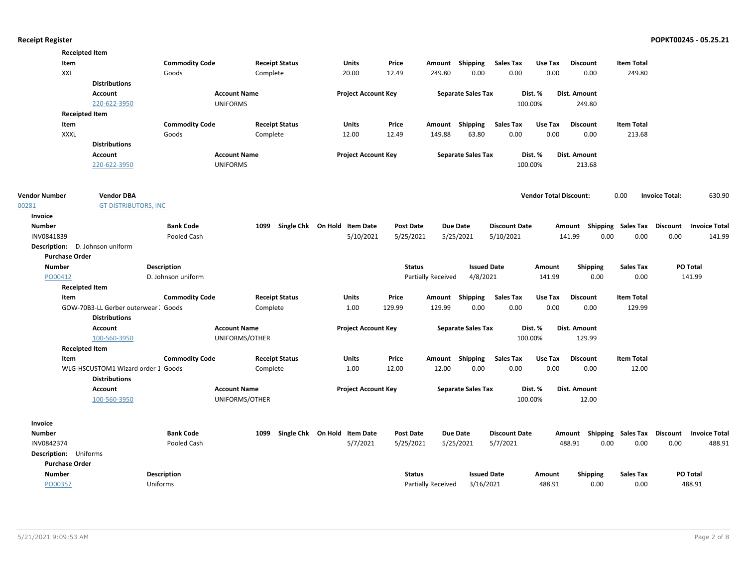|                      | <b>Receipted Item</b>                                       |                       |                     |                       |                              |                  |                    |                           |                      |                               |                           |                   |                       |                      |
|----------------------|-------------------------------------------------------------|-----------------------|---------------------|-----------------------|------------------------------|------------------|--------------------|---------------------------|----------------------|-------------------------------|---------------------------|-------------------|-----------------------|----------------------|
|                      | Item                                                        | <b>Commodity Code</b> |                     | <b>Receipt Status</b> | <b>Units</b>                 | Price            | Amount Shipping    |                           | <b>Sales Tax</b>     | Use Tax                       | <b>Discount</b>           | <b>Item Total</b> |                       |                      |
|                      | XXL                                                         | Goods                 |                     | Complete              | 20.00                        | 12.49            | 249.80             | 0.00                      | 0.00                 | 0.00                          | 0.00                      | 249.80            |                       |                      |
|                      | <b>Distributions</b>                                        |                       |                     |                       |                              |                  |                    |                           |                      |                               |                           |                   |                       |                      |
|                      | Account                                                     |                       | <b>Account Name</b> |                       | <b>Project Account Key</b>   |                  |                    | <b>Separate Sales Tax</b> |                      | Dist. %                       | Dist. Amount              |                   |                       |                      |
|                      | 220-622-3950                                                |                       | <b>UNIFORMS</b>     |                       |                              |                  |                    |                           |                      | 100.00%                       | 249.80                    |                   |                       |                      |
|                      | <b>Receipted Item</b>                                       |                       |                     |                       |                              |                  |                    |                           |                      |                               |                           |                   |                       |                      |
|                      | Item                                                        | <b>Commodity Code</b> |                     | <b>Receipt Status</b> | <b>Units</b>                 | Price            | Amount             | Shipping                  | <b>Sales Tax</b>     | Use Tax                       | <b>Discount</b>           | <b>Item Total</b> |                       |                      |
|                      | <b>XXXL</b>                                                 | Goods                 |                     | Complete              | 12.00                        | 12.49            | 149.88             | 63.80                     | 0.00                 | 0.00                          | 0.00                      | 213.68            |                       |                      |
|                      | <b>Distributions</b>                                        |                       |                     |                       |                              |                  |                    |                           |                      |                               |                           |                   |                       |                      |
|                      | Account                                                     |                       | <b>Account Name</b> |                       | <b>Project Account Key</b>   |                  |                    | <b>Separate Sales Tax</b> |                      | Dist. %                       | Dist. Amount              |                   |                       |                      |
|                      | 220-622-3950                                                |                       | <b>UNIFORMS</b>     |                       |                              |                  |                    |                           |                      | 100.00%                       | 213.68                    |                   |                       |                      |
|                      |                                                             |                       |                     |                       |                              |                  |                    |                           |                      |                               |                           |                   |                       |                      |
| <b>Vendor Number</b> | <b>Vendor DBA</b>                                           |                       |                     |                       |                              |                  |                    |                           |                      | <b>Vendor Total Discount:</b> |                           | 0.00              | <b>Invoice Total:</b> | 630.90               |
| 00281                | <b>GT DISTRIBUTORS, INC</b>                                 |                       |                     |                       |                              |                  |                    |                           |                      |                               |                           |                   |                       |                      |
| Invoice              |                                                             |                       |                     |                       |                              |                  |                    |                           |                      |                               |                           |                   |                       |                      |
| <b>Number</b>        |                                                             | <b>Bank Code</b>      | 1099                |                       | Single Chk On Hold Item Date | <b>Post Date</b> |                    | Due Date                  | <b>Discount Date</b> |                               | Shipping<br>Amount        | Sales Tax         | <b>Discount</b>       | <b>Invoice Total</b> |
| INV0841839           |                                                             | Pooled Cash           |                     |                       | 5/10/2021                    | 5/25/2021        |                    | 5/25/2021                 | 5/10/2021            |                               | 141.99<br>0.00            | 0.00              | 0.00                  | 141.99               |
|                      | Description: D. Johnson uniform                             |                       |                     |                       |                              |                  |                    |                           |                      |                               |                           |                   |                       |                      |
|                      | <b>Purchase Order</b>                                       |                       |                     |                       |                              |                  |                    |                           |                      |                               |                           |                   |                       |                      |
| <b>Number</b>        |                                                             | Description           |                     |                       |                              | <b>Status</b>    |                    | <b>Issued Date</b>        |                      | Amount                        | <b>Shipping</b>           | <b>Sales Tax</b>  |                       | PO Total             |
|                      | PO00412                                                     | D. Johnson uniform    |                     |                       |                              |                  | Partially Received | 4/8/2021                  |                      | 141.99                        | 0.00                      | 0.00              |                       | 141.99               |
|                      | <b>Receipted Item</b>                                       |                       |                     |                       |                              |                  |                    |                           |                      |                               |                           |                   |                       |                      |
|                      | Item                                                        | <b>Commodity Code</b> |                     | <b>Receipt Status</b> | <b>Units</b>                 | Price            | Amount             | <b>Shipping</b>           | <b>Sales Tax</b>     | Use Tax                       | <b>Discount</b>           | <b>Item Total</b> |                       |                      |
|                      | GOW-70B3-LL Gerber outerwear: Goods<br><b>Distributions</b> |                       |                     | Complete              | 1.00                         | 129.99           | 129.99             | 0.00                      | 0.00                 | 0.00                          | 0.00                      | 129.99            |                       |                      |
|                      | <b>Account</b>                                              |                       | <b>Account Name</b> |                       | <b>Project Account Key</b>   |                  |                    | <b>Separate Sales Tax</b> |                      | Dist. %                       | Dist. Amount              |                   |                       |                      |
|                      | 100-560-3950                                                |                       | UNIFORMS/OTHER      |                       |                              |                  |                    |                           |                      | 100.00%                       | 129.99                    |                   |                       |                      |
|                      | <b>Receipted Item</b>                                       |                       |                     |                       |                              |                  |                    |                           |                      |                               |                           |                   |                       |                      |
|                      | Item                                                        | <b>Commodity Code</b> |                     | <b>Receipt Status</b> | <b>Units</b>                 | Price            | Amount Shipping    |                           | <b>Sales Tax</b>     | Use Tax                       | <b>Discount</b>           | <b>Item Total</b> |                       |                      |
|                      | WLG-HSCUSTOM1 Wizard order 1 Goods                          |                       |                     | Complete              | 1.00                         | 12.00            | 12.00              | 0.00                      | 0.00                 | 0.00                          | 0.00                      | 12.00             |                       |                      |
|                      | <b>Distributions</b>                                        |                       |                     |                       |                              |                  |                    |                           |                      |                               |                           |                   |                       |                      |
|                      | Account                                                     |                       | <b>Account Name</b> |                       | <b>Project Account Key</b>   |                  |                    | <b>Separate Sales Tax</b> |                      | Dist. %                       | Dist. Amount              |                   |                       |                      |
|                      | 100-560-3950                                                |                       | UNIFORMS/OTHER      |                       |                              |                  |                    |                           |                      | 100.00%                       | 12.00                     |                   |                       |                      |
|                      |                                                             |                       |                     |                       |                              |                  |                    |                           |                      |                               |                           |                   |                       |                      |
|                      |                                                             |                       |                     |                       |                              |                  |                    |                           |                      |                               |                           |                   |                       |                      |
| Invoice              |                                                             |                       |                     |                       |                              |                  |                    |                           |                      |                               |                           |                   |                       |                      |
| <b>Number</b>        |                                                             | <b>Bank Code</b>      | 1099                |                       | Single Chk On Hold Item Date | <b>Post Date</b> |                    | <b>Due Date</b>           | <b>Discount Date</b> |                               | Amount Shipping Sales Tax |                   | <b>Discount</b>       | <b>Invoice Total</b> |
| INV0842374           |                                                             | Pooled Cash           |                     |                       | 5/7/2021                     | 5/25/2021        |                    | 5/25/2021                 | 5/7/2021             |                               | 488.91<br>0.00            | 0.00              | 0.00                  | 488.91               |
|                      | Description: Uniforms                                       |                       |                     |                       |                              |                  |                    |                           |                      |                               |                           |                   |                       |                      |
|                      | <b>Purchase Order</b>                                       |                       |                     |                       |                              |                  |                    |                           |                      |                               |                           |                   |                       |                      |
| <b>Number</b>        |                                                             | <b>Description</b>    |                     |                       |                              | <b>Status</b>    |                    | <b>Issued Date</b>        |                      | Amount                        | <b>Shipping</b>           | <b>Sales Tax</b>  |                       | PO Total             |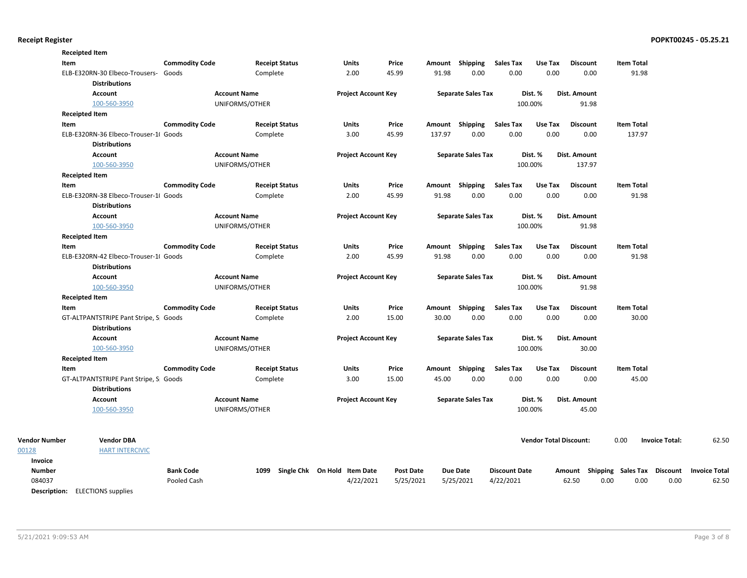| <b>Receipted Item</b>                  |                                       |                       |                     |                       |                              |                  |        |                           |                      |                               |                 |                                    |                       |                      |
|----------------------------------------|---------------------------------------|-----------------------|---------------------|-----------------------|------------------------------|------------------|--------|---------------------------|----------------------|-------------------------------|-----------------|------------------------------------|-----------------------|----------------------|
| Item                                   |                                       | <b>Commodity Code</b> |                     | <b>Receipt Status</b> | Units                        | Price            |        | Amount Shipping           | <b>Sales Tax</b>     | Use Tax                       | <b>Discount</b> | <b>Item Total</b>                  |                       |                      |
|                                        | ELB-E320RN-30 Elbeco-Trousers- Goods  |                       |                     | Complete              | 2.00                         | 45.99            | 91.98  | 0.00                      | 0.00                 | 0.00                          | 0.00            | 91.98                              |                       |                      |
|                                        | <b>Distributions</b>                  |                       |                     |                       |                              |                  |        |                           |                      |                               |                 |                                    |                       |                      |
|                                        | <b>Account</b>                        |                       | <b>Account Name</b> |                       | <b>Project Account Key</b>   |                  |        | <b>Separate Sales Tax</b> |                      | Dist. %                       | Dist. Amount    |                                    |                       |                      |
|                                        | 100-560-3950                          |                       | UNIFORMS/OTHER      |                       |                              |                  |        |                           |                      | 100.00%                       | 91.98           |                                    |                       |                      |
| <b>Receipted Item</b>                  |                                       |                       |                     |                       |                              |                  |        |                           |                      |                               |                 |                                    |                       |                      |
| Item                                   |                                       | <b>Commodity Code</b> |                     | <b>Receipt Status</b> | Units                        | Price            |        | Amount Shipping           | <b>Sales Tax</b>     | Use Tax                       | <b>Discount</b> | <b>Item Total</b>                  |                       |                      |
|                                        | ELB-E320RN-36 Elbeco-Trouser-1( Goods |                       |                     | Complete              | 3.00                         | 45.99            | 137.97 | 0.00                      | 0.00                 | 0.00                          | 0.00            | 137.97                             |                       |                      |
|                                        | <b>Distributions</b>                  |                       |                     |                       |                              |                  |        |                           |                      |                               |                 |                                    |                       |                      |
|                                        | <b>Account</b>                        |                       | <b>Account Name</b> |                       | <b>Project Account Key</b>   |                  |        | <b>Separate Sales Tax</b> |                      | Dist. %                       | Dist. Amount    |                                    |                       |                      |
|                                        | 100-560-3950                          |                       | UNIFORMS/OTHER      |                       |                              |                  |        |                           |                      | 100.00%                       | 137.97          |                                    |                       |                      |
| <b>Receipted Item</b>                  |                                       |                       |                     |                       |                              |                  |        |                           |                      |                               |                 |                                    |                       |                      |
| Item                                   |                                       | <b>Commodity Code</b> |                     | <b>Receipt Status</b> | Units                        | Price            |        | Amount Shipping           | Sales Tax            | Use Tax                       | <b>Discount</b> | <b>Item Total</b>                  |                       |                      |
|                                        | ELB-E320RN-38 Elbeco-Trouser-1( Goods |                       |                     | Complete              | 2.00                         | 45.99            | 91.98  | 0.00                      | 0.00                 | 0.00                          | 0.00            | 91.98                              |                       |                      |
|                                        | <b>Distributions</b>                  |                       |                     |                       |                              |                  |        |                           |                      |                               |                 |                                    |                       |                      |
|                                        | <b>Account</b>                        |                       | <b>Account Name</b> |                       | <b>Project Account Key</b>   |                  |        | <b>Separate Sales Tax</b> |                      | Dist. %                       | Dist. Amount    |                                    |                       |                      |
|                                        | 100-560-3950                          |                       | UNIFORMS/OTHER      |                       |                              |                  |        |                           |                      | 100.00%                       | 91.98           |                                    |                       |                      |
| <b>Receipted Item</b>                  |                                       |                       |                     |                       |                              |                  |        |                           |                      |                               |                 |                                    |                       |                      |
| Item                                   |                                       | <b>Commodity Code</b> |                     | <b>Receipt Status</b> | Units                        | Price            |        | Amount Shipping           | Sales Tax            | Use Tax                       | <b>Discount</b> | <b>Item Total</b>                  |                       |                      |
|                                        | ELB-E320RN-42 Elbeco-Trouser-1( Goods |                       |                     | Complete              | 2.00                         | 45.99            | 91.98  | 0.00                      | 0.00                 | 0.00                          | 0.00            | 91.98                              |                       |                      |
|                                        | <b>Distributions</b>                  |                       |                     |                       |                              |                  |        |                           |                      |                               |                 |                                    |                       |                      |
|                                        | <b>Account</b>                        |                       | <b>Account Name</b> |                       | <b>Project Account Key</b>   |                  |        | <b>Separate Sales Tax</b> |                      | Dist. %                       | Dist. Amount    |                                    |                       |                      |
|                                        | 100-560-3950                          |                       | UNIFORMS/OTHER      |                       |                              |                  |        |                           |                      | 100.00%                       | 91.98           |                                    |                       |                      |
| <b>Receipted Item</b>                  |                                       |                       |                     |                       |                              |                  |        |                           |                      |                               |                 |                                    |                       |                      |
| Item                                   |                                       | <b>Commodity Code</b> |                     | <b>Receipt Status</b> | Units                        | Price            |        | Amount Shipping           | <b>Sales Tax</b>     | Use Tax                       | <b>Discount</b> | <b>Item Total</b>                  |                       |                      |
|                                        | GT-ALTPANTSTRIPE Pant Stripe, S Goods |                       |                     | Complete              | 2.00                         | 15.00            | 30.00  | 0.00                      | 0.00                 | 0.00                          | 0.00            | 30.00                              |                       |                      |
|                                        | <b>Distributions</b>                  |                       |                     |                       |                              |                  |        |                           |                      |                               |                 |                                    |                       |                      |
|                                        | <b>Account</b>                        |                       | <b>Account Name</b> |                       | <b>Project Account Key</b>   |                  |        | <b>Separate Sales Tax</b> |                      | Dist. %                       | Dist. Amount    |                                    |                       |                      |
|                                        | 100-560-3950                          |                       | UNIFORMS/OTHER      |                       |                              |                  |        |                           |                      | 100.00%                       | 30.00           |                                    |                       |                      |
| <b>Receipted Item</b>                  |                                       |                       |                     |                       |                              |                  |        |                           |                      |                               |                 |                                    |                       |                      |
| Item                                   |                                       | <b>Commodity Code</b> |                     | <b>Receipt Status</b> | Units                        | Price            |        | Amount Shipping           | <b>Sales Tax</b>     | Use Tax                       | <b>Discount</b> | <b>Item Total</b>                  |                       |                      |
|                                        | GT-ALTPANTSTRIPE Pant Stripe, S Goods |                       |                     | Complete              | 3.00                         | 15.00            | 45.00  | 0.00                      | 0.00                 | 0.00                          | 0.00            | 45.00                              |                       |                      |
|                                        | <b>Distributions</b>                  |                       |                     |                       |                              |                  |        |                           |                      |                               |                 |                                    |                       |                      |
|                                        | <b>Account</b>                        |                       | <b>Account Name</b> |                       | <b>Project Account Key</b>   |                  |        | <b>Separate Sales Tax</b> |                      | Dist. %                       | Dist. Amount    |                                    |                       |                      |
|                                        | 100-560-3950                          |                       | UNIFORMS/OTHER      |                       |                              |                  |        |                           |                      | 100.00%                       | 45.00           |                                    |                       |                      |
|                                        |                                       |                       |                     |                       |                              |                  |        |                           |                      |                               |                 |                                    |                       |                      |
| Vendor Number                          | <b>Vendor DBA</b>                     |                       |                     |                       |                              |                  |        |                           |                      | <b>Vendor Total Discount:</b> |                 | 0.00                               | <b>Invoice Total:</b> | 62.50                |
|                                        | <b>HART INTERCIVIC</b>                |                       |                     |                       |                              |                  |        |                           |                      |                               |                 |                                    |                       |                      |
| Invoice                                |                                       |                       |                     |                       |                              |                  |        |                           |                      |                               |                 |                                    |                       |                      |
| <b>Number</b>                          |                                       | <b>Bank Code</b>      | 1099                |                       | Single Chk On Hold Item Date | <b>Post Date</b> |        | <b>Due Date</b>           | <b>Discount Date</b> |                               |                 | Amount Shipping Sales Tax Discount |                       | <b>Invoice Total</b> |
| 084037                                 |                                       | Pooled Cash           |                     |                       | 4/22/2021                    | 5/25/2021        |        | 5/25/2021                 | 4/22/2021            |                               | 62.50           | 0.00<br>0.00                       | 0.00                  | 62.50                |
| <b>Description:</b> ELECTIONS supplies |                                       |                       |                     |                       |                              |                  |        |                           |                      |                               |                 |                                    |                       |                      |

00128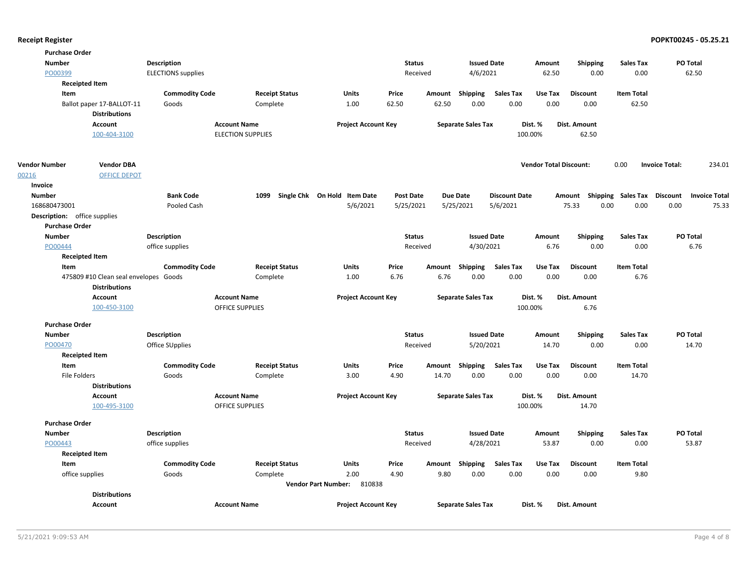| <b>Purchase Order</b>        |                                       |                           |                          |                                      |                  |        |                           |                      |                               |                                    |                   |                                 |  |
|------------------------------|---------------------------------------|---------------------------|--------------------------|--------------------------------------|------------------|--------|---------------------------|----------------------|-------------------------------|------------------------------------|-------------------|---------------------------------|--|
| <b>Number</b>                |                                       | <b>Description</b>        |                          |                                      | <b>Status</b>    |        | <b>Issued Date</b>        |                      | Amount                        | <b>Shipping</b>                    | <b>Sales Tax</b>  | PO Total                        |  |
| PO00399                      |                                       | <b>ELECTIONS</b> supplies |                          |                                      | Received         |        | 4/6/2021                  |                      | 62.50                         | 0.00                               | 0.00              | 62.50                           |  |
| <b>Receipted Item</b>        |                                       |                           |                          |                                      |                  |        |                           |                      |                               |                                    |                   |                                 |  |
| Item                         |                                       | <b>Commodity Code</b>     | <b>Receipt Status</b>    | <b>Units</b>                         | Price            |        | Amount Shipping           | <b>Sales Tax</b>     | Use Tax                       | <b>Discount</b>                    | <b>Item Total</b> |                                 |  |
|                              | Ballot paper 17-BALLOT-11             | Goods                     | Complete                 | 1.00                                 | 62.50            | 62.50  | 0.00                      | 0.00                 | 0.00                          | 0.00                               | 62.50             |                                 |  |
|                              | <b>Distributions</b>                  |                           |                          |                                      |                  |        |                           |                      |                               |                                    |                   |                                 |  |
|                              | Account                               |                           | <b>Account Name</b>      | <b>Project Account Key</b>           |                  |        | <b>Separate Sales Tax</b> |                      | Dist. %                       | Dist. Amount                       |                   |                                 |  |
|                              | 100-404-3100                          |                           | <b>ELECTION SUPPLIES</b> |                                      |                  |        |                           |                      | 100.00%                       | 62.50                              |                   |                                 |  |
| <b>Vendor Number</b>         | <b>Vendor DBA</b>                     |                           |                          |                                      |                  |        |                           |                      | <b>Vendor Total Discount:</b> |                                    | 0.00              | <b>Invoice Total:</b><br>234.01 |  |
| 00216                        | <b>OFFICE DEPOT</b>                   |                           |                          |                                      |                  |        |                           |                      |                               |                                    |                   |                                 |  |
| Invoice                      |                                       |                           |                          |                                      |                  |        |                           |                      |                               |                                    |                   |                                 |  |
| <b>Number</b>                |                                       | <b>Bank Code</b>          | 1099                     | Single Chk On Hold Item Date         | <b>Post Date</b> |        | <b>Due Date</b>           | <b>Discount Date</b> |                               | Amount Shipping Sales Tax Discount |                   | <b>Invoice Total</b>            |  |
| 168680473001                 |                                       | Pooled Cash               |                          | 5/6/2021                             | 5/25/2021        |        | 5/25/2021                 | 5/6/2021             |                               | 75.33<br>0.00                      | 0.00              | 0.00<br>75.33                   |  |
| Description: office supplies |                                       |                           |                          |                                      |                  |        |                           |                      |                               |                                    |                   |                                 |  |
| <b>Purchase Order</b>        |                                       |                           |                          |                                      |                  |        |                           |                      |                               |                                    |                   |                                 |  |
| <b>Number</b>                |                                       | <b>Description</b>        |                          |                                      | <b>Status</b>    |        | <b>Issued Date</b>        |                      | Amount                        | <b>Shipping</b>                    | <b>Sales Tax</b>  | PO Total                        |  |
| PO00444                      |                                       | office supplies           |                          |                                      | Received         |        | 4/30/2021                 |                      | 6.76                          | 0.00                               | 0.00              | 6.76                            |  |
| <b>Receipted Item</b>        |                                       |                           |                          |                                      |                  |        |                           |                      |                               |                                    |                   |                                 |  |
| Item                         |                                       | <b>Commodity Code</b>     | <b>Receipt Status</b>    | <b>Units</b>                         | Price            |        | Amount Shipping           | <b>Sales Tax</b>     | Use Tax                       | <b>Discount</b>                    | <b>Item Total</b> |                                 |  |
|                              | 475809 #10 Clean seal envelopes Goods |                           | Complete                 | 1.00                                 | 6.76             | 6.76   | 0.00                      | 0.00                 | 0.00                          | 0.00                               | 6.76              |                                 |  |
|                              | <b>Distributions</b>                  |                           |                          |                                      |                  |        |                           |                      |                               |                                    |                   |                                 |  |
|                              | Account                               |                           | <b>Account Name</b>      | <b>Project Account Key</b>           |                  |        | <b>Separate Sales Tax</b> |                      | Dist. %                       | Dist. Amount                       |                   |                                 |  |
|                              | 100-450-3100                          |                           | <b>OFFICE SUPPLIES</b>   |                                      |                  |        |                           |                      | 100.00%                       | 6.76                               |                   |                                 |  |
| <b>Purchase Order</b>        |                                       |                           |                          |                                      |                  |        |                           |                      |                               |                                    |                   |                                 |  |
| <b>Number</b>                |                                       | <b>Description</b>        |                          |                                      | <b>Status</b>    |        | <b>Issued Date</b>        |                      | Amount                        | <b>Shipping</b>                    | <b>Sales Tax</b>  | PO Total                        |  |
| PO00470                      |                                       | Office SUpplies           |                          |                                      | Received         |        | 5/20/2021                 |                      | 14.70                         | 0.00                               | 0.00              | 14.70                           |  |
| <b>Receipted Item</b>        |                                       |                           |                          |                                      |                  |        |                           |                      |                               |                                    |                   |                                 |  |
| Item                         |                                       | <b>Commodity Code</b>     | <b>Receipt Status</b>    | <b>Units</b>                         | Price            |        | Amount Shipping           | <b>Sales Tax</b>     | Use Tax                       | <b>Discount</b>                    | <b>Item Total</b> |                                 |  |
| <b>File Folders</b>          |                                       | Goods                     | Complete                 | 3.00                                 | 4.90             | 14.70  | 0.00                      | 0.00                 | 0.00                          | 0.00                               | 14.70             |                                 |  |
|                              | <b>Distributions</b>                  |                           |                          |                                      |                  |        |                           |                      |                               |                                    |                   |                                 |  |
|                              | <b>Account</b>                        |                           | <b>Account Name</b>      | <b>Project Account Key</b>           |                  |        | <b>Separate Sales Tax</b> |                      | Dist. %                       | <b>Dist. Amount</b>                |                   |                                 |  |
|                              | 100-495-3100                          |                           | <b>OFFICE SUPPLIES</b>   |                                      |                  |        |                           |                      | 100.00%                       | 14.70                              |                   |                                 |  |
| <b>Purchase Order</b>        |                                       |                           |                          |                                      |                  |        |                           |                      |                               |                                    |                   |                                 |  |
| <b>Number</b>                |                                       | <b>Description</b>        |                          |                                      | <b>Status</b>    |        | <b>Issued Date</b>        |                      | Amount                        | <b>Shipping</b>                    | <b>Sales Tax</b>  | PO Total                        |  |
| PO00443                      |                                       | office supplies           |                          |                                      | Received         |        | 4/28/2021                 |                      | 53.87                         | 0.00                               | 0.00              | 53.87                           |  |
| <b>Receipted Item</b>        |                                       |                           |                          |                                      |                  |        |                           |                      |                               |                                    |                   |                                 |  |
| Item                         |                                       | <b>Commodity Code</b>     | <b>Receipt Status</b>    | Units                                | Price            | Amount | Shipping                  | <b>Sales Tax</b>     | Use Tax                       | <b>Discount</b>                    | <b>Item Total</b> |                                 |  |
| office supplies              |                                       | Goods                     | Complete                 | 2.00                                 | 4.90             | 9.80   | 0.00                      | 0.00                 | 0.00                          | 0.00                               | 9.80              |                                 |  |
|                              |                                       |                           |                          | 810838<br><b>Vendor Part Number:</b> |                  |        |                           |                      |                               |                                    |                   |                                 |  |
|                              | <b>Distributions</b>                  |                           |                          |                                      |                  |        |                           |                      |                               |                                    |                   |                                 |  |
|                              | Account                               |                           | <b>Account Name</b>      | <b>Project Account Key</b>           |                  |        | <b>Separate Sales Tax</b> |                      | Dist. %                       | <b>Dist. Amount</b>                |                   |                                 |  |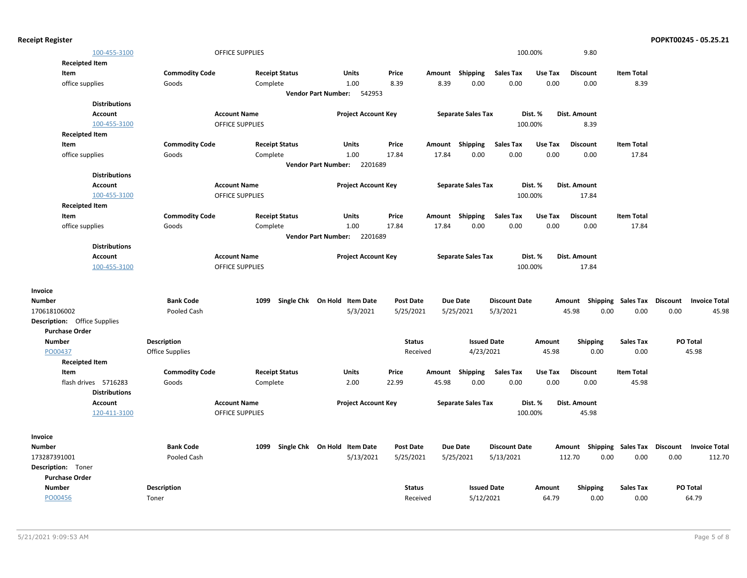| <b>Receipt Register</b> |                                     |                       |                        |                                        |                  |                           |                      |         |                                    |                   | POPKT00245 - 05.25.21 |                      |
|-------------------------|-------------------------------------|-----------------------|------------------------|----------------------------------------|------------------|---------------------------|----------------------|---------|------------------------------------|-------------------|-----------------------|----------------------|
|                         | 100-455-3100                        |                       | OFFICE SUPPLIES        |                                        |                  |                           |                      | 100.00% | 9.80                               |                   |                       |                      |
|                         | <b>Receipted Item</b>               |                       |                        |                                        |                  |                           |                      |         |                                    |                   |                       |                      |
| Item                    |                                     | <b>Commodity Code</b> | <b>Receipt Status</b>  | Units                                  | Price            | Amount Shipping           | <b>Sales Tax</b>     | Use Tax | <b>Discount</b>                    | <b>Item Total</b> |                       |                      |
|                         | office supplies                     | Goods                 | Complete               | 1.00                                   | 8.39             | 8.39                      | 0.00<br>0.00         | 0.00    | 0.00                               | 8.39              |                       |                      |
|                         |                                     |                       |                        | 542953<br><b>Vendor Part Number:</b>   |                  |                           |                      |         |                                    |                   |                       |                      |
|                         | <b>Distributions</b>                |                       |                        |                                        |                  |                           |                      |         |                                    |                   |                       |                      |
|                         | <b>Account</b>                      |                       | <b>Account Name</b>    | <b>Project Account Key</b>             |                  | <b>Separate Sales Tax</b> |                      | Dist. % | Dist. Amount                       |                   |                       |                      |
|                         | 100-455-3100                        |                       | OFFICE SUPPLIES        |                                        |                  |                           |                      | 100.00% | 8.39                               |                   |                       |                      |
|                         | <b>Receipted Item</b>               |                       |                        |                                        |                  |                           |                      |         |                                    |                   |                       |                      |
| Item                    |                                     | <b>Commodity Code</b> | <b>Receipt Status</b>  | Units                                  | Price            | Amount Shipping           | <b>Sales Tax</b>     | Use Tax | <b>Discount</b>                    | <b>Item Total</b> |                       |                      |
|                         | office supplies                     | Goods                 | Complete               | 1.00                                   | 17.84            | 17.84                     | 0.00<br>0.00         | 0.00    | 0.00                               | 17.84             |                       |                      |
|                         |                                     |                       |                        | <b>Vendor Part Number:</b><br>2201689  |                  |                           |                      |         |                                    |                   |                       |                      |
|                         | <b>Distributions</b>                |                       |                        |                                        |                  |                           |                      |         |                                    |                   |                       |                      |
|                         | Account                             |                       | <b>Account Name</b>    | <b>Project Account Key</b>             |                  | <b>Separate Sales Tax</b> |                      | Dist. % | Dist. Amount                       |                   |                       |                      |
|                         | 100-455-3100                        |                       | <b>OFFICE SUPPLIES</b> |                                        |                  |                           |                      | 100.00% | 17.84                              |                   |                       |                      |
|                         | <b>Receipted Item</b>               |                       |                        |                                        |                  |                           |                      |         |                                    |                   |                       |                      |
| Item                    |                                     | <b>Commodity Code</b> | <b>Receipt Status</b>  | Units                                  | Price            | Amount Shipping           | <b>Sales Tax</b>     | Use Tax | <b>Discount</b>                    | <b>Item Total</b> |                       |                      |
|                         | office supplies                     | Goods                 | Complete               | 1.00                                   | 17.84            | 17.84                     | 0.00<br>0.00         | 0.00    | 0.00                               | 17.84             |                       |                      |
|                         |                                     |                       |                        | Vendor Part Number: 2201689            |                  |                           |                      |         |                                    |                   |                       |                      |
|                         | <b>Distributions</b>                |                       |                        |                                        |                  |                           |                      |         |                                    |                   |                       |                      |
|                         | <b>Account</b>                      |                       | <b>Account Name</b>    | <b>Project Account Key</b>             |                  | <b>Separate Sales Tax</b> |                      | Dist. % | Dist. Amount                       |                   |                       |                      |
|                         | 100-455-3100                        |                       | OFFICE SUPPLIES        |                                        |                  |                           |                      | 100.00% | 17.84                              |                   |                       |                      |
| Invoice                 |                                     |                       |                        |                                        |                  |                           |                      |         |                                    |                   |                       |                      |
| <b>Number</b>           |                                     | <b>Bank Code</b>      | 1099                   | Single Chk On Hold Item Date           | <b>Post Date</b> | <b>Due Date</b>           | <b>Discount Date</b> |         | Amount Shipping Sales Tax Discount |                   |                       | <b>Invoice Total</b> |
| 170618106002            |                                     | Pooled Cash           |                        | 5/3/2021                               | 5/25/2021        | 5/25/2021                 | 5/3/2021             |         | 45.98<br>0.00                      | 0.00              | 0.00                  | 45.98                |
|                         | <b>Description:</b> Office Supplies |                       |                        |                                        |                  |                           |                      |         |                                    |                   |                       |                      |
| <b>Purchase Order</b>   |                                     |                       |                        |                                        |                  |                           |                      |         |                                    |                   |                       |                      |
| <b>Number</b>           |                                     | <b>Description</b>    |                        |                                        | <b>Status</b>    |                           | <b>Issued Date</b>   | Amount  | Shipping                           | <b>Sales Tax</b>  | PO Total              |                      |
| PO00437                 |                                     | Office Supplies       |                        |                                        | Received         |                           | 4/23/2021            | 45.98   | 0.00                               | 0.00              |                       | 45.98                |
|                         | <b>Receipted Item</b>               |                       |                        |                                        |                  |                           |                      |         |                                    |                   |                       |                      |
| Item                    |                                     | <b>Commodity Code</b> | <b>Receipt Status</b>  | Units                                  | Price            | Shipping<br>Amount        | <b>Sales Tax</b>     | Use Tax | <b>Discount</b>                    | <b>Item Total</b> |                       |                      |
|                         | flash drives 5716283                | Goods                 | Complete               | 2.00                                   | 22.99            | 45.98                     | 0.00<br>0.00         | 0.00    | 0.00                               | 45.98             |                       |                      |
|                         | <b>Distributions</b>                |                       |                        |                                        |                  |                           |                      |         |                                    |                   |                       |                      |
|                         | Account                             |                       | <b>Account Name</b>    | <b>Project Account Key</b>             |                  | <b>Separate Sales Tax</b> |                      | Dist. % | Dist. Amount                       |                   |                       |                      |
|                         | 120-411-3100                        |                       | OFFICE SUPPLIES        |                                        |                  |                           |                      | 100.00% | 45.98                              |                   |                       |                      |
| Invoice                 |                                     |                       |                        |                                        |                  |                           |                      |         |                                    |                   |                       |                      |
| <b>Number</b>           |                                     | <b>Bank Code</b>      | 1099                   | Single Chk On Hold<br><b>Item Date</b> | <b>Post Date</b> | <b>Due Date</b>           | <b>Discount Date</b> |         | Amount Shipping Sales Tax Discount |                   |                       | <b>Invoice Total</b> |
| 173287391001            |                                     | Pooled Cash           |                        | 5/13/2021                              | 5/25/2021        | 5/25/2021                 | 5/13/2021            |         | 0.00<br>112.70                     | 0.00              | 0.00                  | 112.70               |
| Description: Toner      |                                     |                       |                        |                                        |                  |                           |                      |         |                                    |                   |                       |                      |
| <b>Purchase Order</b>   |                                     |                       |                        |                                        |                  |                           |                      |         |                                    |                   |                       |                      |
| <b>Number</b>           |                                     | <b>Description</b>    |                        |                                        | <b>Status</b>    |                           | <b>Issued Date</b>   | Amount  | <b>Shipping</b>                    | <b>Sales Tax</b>  | <b>PO Total</b>       |                      |
| PO00456                 |                                     | Toner                 |                        |                                        | Received         |                           | 5/12/2021            | 64.79   | 0.00                               | 0.00              |                       | 64.79                |
|                         |                                     |                       |                        |                                        |                  |                           |                      |         |                                    |                   |                       |                      |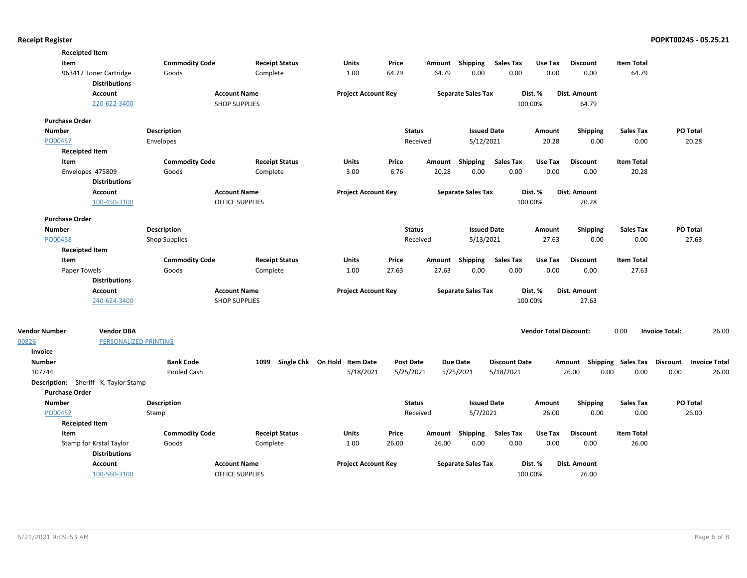| <b>Commodity Code</b><br><b>Receipt Status</b><br>Price<br>Amount Shipping<br><b>Sales Tax</b><br><b>Item Total</b><br>Item<br>Units<br>Use Tax<br><b>Discount</b><br>0.00<br>963412 Toner Cartridge<br>64.79<br>64.79<br>0.00<br>0.00<br>0.00<br>64.79<br>Goods<br>Complete<br>1.00<br><b>Distributions</b><br><b>Account Name</b><br><b>Project Account Key</b><br><b>Separate Sales Tax</b><br>Dist. %<br>Account<br>Dist. Amount<br>220-622-3400<br><b>SHOP SUPPLIES</b><br>100.00%<br>64.79<br><b>Purchase Order</b><br>PO Total<br><b>Number</b><br><b>Description</b><br><b>Status</b><br><b>Issued Date</b><br>Shipping<br><b>Sales Tax</b><br>Amount<br>PO00457<br>Received<br>5/12/2021<br>20.28<br>0.00<br>0.00<br>20.28<br>Envelopes<br><b>Receipted Item</b><br><b>Commodity Code</b><br>Amount Shipping<br><b>Sales Tax</b><br>Use Tax<br><b>Item Total</b><br>Item<br><b>Receipt Status</b><br>Units<br>Price<br><b>Discount</b><br>0.00<br>0.00<br>Envelopes 475809<br>3.00<br>6.76<br>20.28<br>0.00<br>0.00<br>20.28<br>Goods<br>Complete<br><b>Distributions</b><br>Account<br><b>Account Name</b><br>Dist. %<br><b>Project Account Key</b><br><b>Separate Sales Tax</b><br>Dist. Amount<br><b>OFFICE SUPPLIES</b><br>100.00%<br>20.28<br>100-450-3100<br><b>Purchase Order</b><br>PO Total<br><b>Number</b><br>Description<br><b>Status</b><br><b>Issued Date</b><br>Shipping<br><b>Sales Tax</b><br>Amount<br>5/13/2021<br>27.63<br>PO00458<br><b>Shop Supplies</b><br>Received<br>27.63<br>0.00<br>0.00<br><b>Receipted Item</b><br><b>Commodity Code</b><br><b>Receipt Status</b><br>Price<br><b>Sales Tax</b><br><b>Discount</b><br><b>Item Total</b><br>Item<br>Units<br>Amount<br>Shipping<br>Use Tax<br>27.63<br>27.63<br>0.00<br>0.00<br>0.00<br>27.63<br>Paper Towels<br>Goods<br>Complete<br>1.00<br>0.00<br><b>Distributions</b><br><b>Project Account Key</b><br><b>Separate Sales Tax</b><br>Account<br><b>Account Name</b><br>Dist. %<br>Dist. Amount<br><b>SHOP SUPPLIES</b><br>100.00%<br>27.63<br>240-624-3400<br>0.00<br><b>Vendor Number</b><br><b>Vendor DBA</b><br><b>Vendor Total Discount:</b><br><b>Invoice Total:</b><br>26.00<br>00826<br>PERSONALIZED PRINTING<br>Invoice<br>Single Chk On Hold Item Date<br><b>Number</b><br><b>Bank Code</b><br>1099<br><b>Post Date</b><br><b>Due Date</b><br><b>Discount Date</b><br>Shipping Sales Tax Discount<br><b>Invoice Total</b><br>Amount<br>26.00<br>0.00<br>107744<br>Pooled Cash<br>5/18/2021<br>5/25/2021<br>5/25/2021<br>5/18/2021<br>0.00<br>0.00<br>26.00<br>Description: Sheriff - K. Taylor Stamp<br><b>Purchase Order</b><br><b>Status</b><br><b>Issued Date</b><br>PO Total<br><b>Number</b><br><b>Description</b><br>Amount<br><b>Shipping</b><br><b>Sales Tax</b><br>PO00452<br>5/7/2021<br>26.00<br>0.00<br>26.00<br>Stamp<br>Received<br>0.00<br><b>Receipted Item</b><br>Item<br><b>Commodity Code</b><br><b>Receipt Status</b><br>Units<br>Price<br>Amount Shipping<br><b>Sales Tax</b><br>Use Tax<br><b>Discount</b><br><b>Item Total</b><br>0.00<br>Stamp for Krstal Taylor<br>1.00<br>26.00<br>26.00<br>0.00<br>0.00<br>0.00<br>26.00<br>Goods<br>Complete<br><b>Distributions</b><br>Account<br><b>Project Account Key</b><br><b>Separate Sales Tax</b><br>Dist. Amount<br><b>Account Name</b><br>Dist. %<br>100-560-3100<br>100.00%<br>26.00<br><b>OFFICE SUPPLIES</b> | <b>Receipted Item</b> |  |  |  |  |  |  |
|-----------------------------------------------------------------------------------------------------------------------------------------------------------------------------------------------------------------------------------------------------------------------------------------------------------------------------------------------------------------------------------------------------------------------------------------------------------------------------------------------------------------------------------------------------------------------------------------------------------------------------------------------------------------------------------------------------------------------------------------------------------------------------------------------------------------------------------------------------------------------------------------------------------------------------------------------------------------------------------------------------------------------------------------------------------------------------------------------------------------------------------------------------------------------------------------------------------------------------------------------------------------------------------------------------------------------------------------------------------------------------------------------------------------------------------------------------------------------------------------------------------------------------------------------------------------------------------------------------------------------------------------------------------------------------------------------------------------------------------------------------------------------------------------------------------------------------------------------------------------------------------------------------------------------------------------------------------------------------------------------------------------------------------------------------------------------------------------------------------------------------------------------------------------------------------------------------------------------------------------------------------------------------------------------------------------------------------------------------------------------------------------------------------------------------------------------------------------------------------------------------------------------------------------------------------------------------------------------------------------------------------------------------------------------------------------------------------------------------------------------------------------------------------------------------------------------------------------------------------------------------------------------------------------------------------------------------------------------------------------------------------------------------------------------------------------------------------------------------------------------------------------------------------------------------------------------------------------------------------------------------------------------------------------------------------------------------------------------------------------------------------------|-----------------------|--|--|--|--|--|--|
|                                                                                                                                                                                                                                                                                                                                                                                                                                                                                                                                                                                                                                                                                                                                                                                                                                                                                                                                                                                                                                                                                                                                                                                                                                                                                                                                                                                                                                                                                                                                                                                                                                                                                                                                                                                                                                                                                                                                                                                                                                                                                                                                                                                                                                                                                                                                                                                                                                                                                                                                                                                                                                                                                                                                                                                                                                                                                                                                                                                                                                                                                                                                                                                                                                                                                                                                                                                         |                       |  |  |  |  |  |  |
|                                                                                                                                                                                                                                                                                                                                                                                                                                                                                                                                                                                                                                                                                                                                                                                                                                                                                                                                                                                                                                                                                                                                                                                                                                                                                                                                                                                                                                                                                                                                                                                                                                                                                                                                                                                                                                                                                                                                                                                                                                                                                                                                                                                                                                                                                                                                                                                                                                                                                                                                                                                                                                                                                                                                                                                                                                                                                                                                                                                                                                                                                                                                                                                                                                                                                                                                                                                         |                       |  |  |  |  |  |  |
|                                                                                                                                                                                                                                                                                                                                                                                                                                                                                                                                                                                                                                                                                                                                                                                                                                                                                                                                                                                                                                                                                                                                                                                                                                                                                                                                                                                                                                                                                                                                                                                                                                                                                                                                                                                                                                                                                                                                                                                                                                                                                                                                                                                                                                                                                                                                                                                                                                                                                                                                                                                                                                                                                                                                                                                                                                                                                                                                                                                                                                                                                                                                                                                                                                                                                                                                                                                         |                       |  |  |  |  |  |  |
|                                                                                                                                                                                                                                                                                                                                                                                                                                                                                                                                                                                                                                                                                                                                                                                                                                                                                                                                                                                                                                                                                                                                                                                                                                                                                                                                                                                                                                                                                                                                                                                                                                                                                                                                                                                                                                                                                                                                                                                                                                                                                                                                                                                                                                                                                                                                                                                                                                                                                                                                                                                                                                                                                                                                                                                                                                                                                                                                                                                                                                                                                                                                                                                                                                                                                                                                                                                         |                       |  |  |  |  |  |  |
|                                                                                                                                                                                                                                                                                                                                                                                                                                                                                                                                                                                                                                                                                                                                                                                                                                                                                                                                                                                                                                                                                                                                                                                                                                                                                                                                                                                                                                                                                                                                                                                                                                                                                                                                                                                                                                                                                                                                                                                                                                                                                                                                                                                                                                                                                                                                                                                                                                                                                                                                                                                                                                                                                                                                                                                                                                                                                                                                                                                                                                                                                                                                                                                                                                                                                                                                                                                         |                       |  |  |  |  |  |  |
|                                                                                                                                                                                                                                                                                                                                                                                                                                                                                                                                                                                                                                                                                                                                                                                                                                                                                                                                                                                                                                                                                                                                                                                                                                                                                                                                                                                                                                                                                                                                                                                                                                                                                                                                                                                                                                                                                                                                                                                                                                                                                                                                                                                                                                                                                                                                                                                                                                                                                                                                                                                                                                                                                                                                                                                                                                                                                                                                                                                                                                                                                                                                                                                                                                                                                                                                                                                         |                       |  |  |  |  |  |  |
|                                                                                                                                                                                                                                                                                                                                                                                                                                                                                                                                                                                                                                                                                                                                                                                                                                                                                                                                                                                                                                                                                                                                                                                                                                                                                                                                                                                                                                                                                                                                                                                                                                                                                                                                                                                                                                                                                                                                                                                                                                                                                                                                                                                                                                                                                                                                                                                                                                                                                                                                                                                                                                                                                                                                                                                                                                                                                                                                                                                                                                                                                                                                                                                                                                                                                                                                                                                         |                       |  |  |  |  |  |  |
|                                                                                                                                                                                                                                                                                                                                                                                                                                                                                                                                                                                                                                                                                                                                                                                                                                                                                                                                                                                                                                                                                                                                                                                                                                                                                                                                                                                                                                                                                                                                                                                                                                                                                                                                                                                                                                                                                                                                                                                                                                                                                                                                                                                                                                                                                                                                                                                                                                                                                                                                                                                                                                                                                                                                                                                                                                                                                                                                                                                                                                                                                                                                                                                                                                                                                                                                                                                         |                       |  |  |  |  |  |  |
|                                                                                                                                                                                                                                                                                                                                                                                                                                                                                                                                                                                                                                                                                                                                                                                                                                                                                                                                                                                                                                                                                                                                                                                                                                                                                                                                                                                                                                                                                                                                                                                                                                                                                                                                                                                                                                                                                                                                                                                                                                                                                                                                                                                                                                                                                                                                                                                                                                                                                                                                                                                                                                                                                                                                                                                                                                                                                                                                                                                                                                                                                                                                                                                                                                                                                                                                                                                         |                       |  |  |  |  |  |  |
|                                                                                                                                                                                                                                                                                                                                                                                                                                                                                                                                                                                                                                                                                                                                                                                                                                                                                                                                                                                                                                                                                                                                                                                                                                                                                                                                                                                                                                                                                                                                                                                                                                                                                                                                                                                                                                                                                                                                                                                                                                                                                                                                                                                                                                                                                                                                                                                                                                                                                                                                                                                                                                                                                                                                                                                                                                                                                                                                                                                                                                                                                                                                                                                                                                                                                                                                                                                         |                       |  |  |  |  |  |  |
|                                                                                                                                                                                                                                                                                                                                                                                                                                                                                                                                                                                                                                                                                                                                                                                                                                                                                                                                                                                                                                                                                                                                                                                                                                                                                                                                                                                                                                                                                                                                                                                                                                                                                                                                                                                                                                                                                                                                                                                                                                                                                                                                                                                                                                                                                                                                                                                                                                                                                                                                                                                                                                                                                                                                                                                                                                                                                                                                                                                                                                                                                                                                                                                                                                                                                                                                                                                         |                       |  |  |  |  |  |  |
|                                                                                                                                                                                                                                                                                                                                                                                                                                                                                                                                                                                                                                                                                                                                                                                                                                                                                                                                                                                                                                                                                                                                                                                                                                                                                                                                                                                                                                                                                                                                                                                                                                                                                                                                                                                                                                                                                                                                                                                                                                                                                                                                                                                                                                                                                                                                                                                                                                                                                                                                                                                                                                                                                                                                                                                                                                                                                                                                                                                                                                                                                                                                                                                                                                                                                                                                                                                         |                       |  |  |  |  |  |  |
|                                                                                                                                                                                                                                                                                                                                                                                                                                                                                                                                                                                                                                                                                                                                                                                                                                                                                                                                                                                                                                                                                                                                                                                                                                                                                                                                                                                                                                                                                                                                                                                                                                                                                                                                                                                                                                                                                                                                                                                                                                                                                                                                                                                                                                                                                                                                                                                                                                                                                                                                                                                                                                                                                                                                                                                                                                                                                                                                                                                                                                                                                                                                                                                                                                                                                                                                                                                         |                       |  |  |  |  |  |  |
|                                                                                                                                                                                                                                                                                                                                                                                                                                                                                                                                                                                                                                                                                                                                                                                                                                                                                                                                                                                                                                                                                                                                                                                                                                                                                                                                                                                                                                                                                                                                                                                                                                                                                                                                                                                                                                                                                                                                                                                                                                                                                                                                                                                                                                                                                                                                                                                                                                                                                                                                                                                                                                                                                                                                                                                                                                                                                                                                                                                                                                                                                                                                                                                                                                                                                                                                                                                         |                       |  |  |  |  |  |  |
|                                                                                                                                                                                                                                                                                                                                                                                                                                                                                                                                                                                                                                                                                                                                                                                                                                                                                                                                                                                                                                                                                                                                                                                                                                                                                                                                                                                                                                                                                                                                                                                                                                                                                                                                                                                                                                                                                                                                                                                                                                                                                                                                                                                                                                                                                                                                                                                                                                                                                                                                                                                                                                                                                                                                                                                                                                                                                                                                                                                                                                                                                                                                                                                                                                                                                                                                                                                         |                       |  |  |  |  |  |  |
|                                                                                                                                                                                                                                                                                                                                                                                                                                                                                                                                                                                                                                                                                                                                                                                                                                                                                                                                                                                                                                                                                                                                                                                                                                                                                                                                                                                                                                                                                                                                                                                                                                                                                                                                                                                                                                                                                                                                                                                                                                                                                                                                                                                                                                                                                                                                                                                                                                                                                                                                                                                                                                                                                                                                                                                                                                                                                                                                                                                                                                                                                                                                                                                                                                                                                                                                                                                         |                       |  |  |  |  |  |  |
|                                                                                                                                                                                                                                                                                                                                                                                                                                                                                                                                                                                                                                                                                                                                                                                                                                                                                                                                                                                                                                                                                                                                                                                                                                                                                                                                                                                                                                                                                                                                                                                                                                                                                                                                                                                                                                                                                                                                                                                                                                                                                                                                                                                                                                                                                                                                                                                                                                                                                                                                                                                                                                                                                                                                                                                                                                                                                                                                                                                                                                                                                                                                                                                                                                                                                                                                                                                         |                       |  |  |  |  |  |  |
|                                                                                                                                                                                                                                                                                                                                                                                                                                                                                                                                                                                                                                                                                                                                                                                                                                                                                                                                                                                                                                                                                                                                                                                                                                                                                                                                                                                                                                                                                                                                                                                                                                                                                                                                                                                                                                                                                                                                                                                                                                                                                                                                                                                                                                                                                                                                                                                                                                                                                                                                                                                                                                                                                                                                                                                                                                                                                                                                                                                                                                                                                                                                                                                                                                                                                                                                                                                         |                       |  |  |  |  |  |  |
|                                                                                                                                                                                                                                                                                                                                                                                                                                                                                                                                                                                                                                                                                                                                                                                                                                                                                                                                                                                                                                                                                                                                                                                                                                                                                                                                                                                                                                                                                                                                                                                                                                                                                                                                                                                                                                                                                                                                                                                                                                                                                                                                                                                                                                                                                                                                                                                                                                                                                                                                                                                                                                                                                                                                                                                                                                                                                                                                                                                                                                                                                                                                                                                                                                                                                                                                                                                         |                       |  |  |  |  |  |  |
|                                                                                                                                                                                                                                                                                                                                                                                                                                                                                                                                                                                                                                                                                                                                                                                                                                                                                                                                                                                                                                                                                                                                                                                                                                                                                                                                                                                                                                                                                                                                                                                                                                                                                                                                                                                                                                                                                                                                                                                                                                                                                                                                                                                                                                                                                                                                                                                                                                                                                                                                                                                                                                                                                                                                                                                                                                                                                                                                                                                                                                                                                                                                                                                                                                                                                                                                                                                         |                       |  |  |  |  |  |  |
|                                                                                                                                                                                                                                                                                                                                                                                                                                                                                                                                                                                                                                                                                                                                                                                                                                                                                                                                                                                                                                                                                                                                                                                                                                                                                                                                                                                                                                                                                                                                                                                                                                                                                                                                                                                                                                                                                                                                                                                                                                                                                                                                                                                                                                                                                                                                                                                                                                                                                                                                                                                                                                                                                                                                                                                                                                                                                                                                                                                                                                                                                                                                                                                                                                                                                                                                                                                         |                       |  |  |  |  |  |  |
|                                                                                                                                                                                                                                                                                                                                                                                                                                                                                                                                                                                                                                                                                                                                                                                                                                                                                                                                                                                                                                                                                                                                                                                                                                                                                                                                                                                                                                                                                                                                                                                                                                                                                                                                                                                                                                                                                                                                                                                                                                                                                                                                                                                                                                                                                                                                                                                                                                                                                                                                                                                                                                                                                                                                                                                                                                                                                                                                                                                                                                                                                                                                                                                                                                                                                                                                                                                         |                       |  |  |  |  |  |  |
|                                                                                                                                                                                                                                                                                                                                                                                                                                                                                                                                                                                                                                                                                                                                                                                                                                                                                                                                                                                                                                                                                                                                                                                                                                                                                                                                                                                                                                                                                                                                                                                                                                                                                                                                                                                                                                                                                                                                                                                                                                                                                                                                                                                                                                                                                                                                                                                                                                                                                                                                                                                                                                                                                                                                                                                                                                                                                                                                                                                                                                                                                                                                                                                                                                                                                                                                                                                         |                       |  |  |  |  |  |  |
|                                                                                                                                                                                                                                                                                                                                                                                                                                                                                                                                                                                                                                                                                                                                                                                                                                                                                                                                                                                                                                                                                                                                                                                                                                                                                                                                                                                                                                                                                                                                                                                                                                                                                                                                                                                                                                                                                                                                                                                                                                                                                                                                                                                                                                                                                                                                                                                                                                                                                                                                                                                                                                                                                                                                                                                                                                                                                                                                                                                                                                                                                                                                                                                                                                                                                                                                                                                         |                       |  |  |  |  |  |  |
|                                                                                                                                                                                                                                                                                                                                                                                                                                                                                                                                                                                                                                                                                                                                                                                                                                                                                                                                                                                                                                                                                                                                                                                                                                                                                                                                                                                                                                                                                                                                                                                                                                                                                                                                                                                                                                                                                                                                                                                                                                                                                                                                                                                                                                                                                                                                                                                                                                                                                                                                                                                                                                                                                                                                                                                                                                                                                                                                                                                                                                                                                                                                                                                                                                                                                                                                                                                         |                       |  |  |  |  |  |  |
|                                                                                                                                                                                                                                                                                                                                                                                                                                                                                                                                                                                                                                                                                                                                                                                                                                                                                                                                                                                                                                                                                                                                                                                                                                                                                                                                                                                                                                                                                                                                                                                                                                                                                                                                                                                                                                                                                                                                                                                                                                                                                                                                                                                                                                                                                                                                                                                                                                                                                                                                                                                                                                                                                                                                                                                                                                                                                                                                                                                                                                                                                                                                                                                                                                                                                                                                                                                         |                       |  |  |  |  |  |  |
|                                                                                                                                                                                                                                                                                                                                                                                                                                                                                                                                                                                                                                                                                                                                                                                                                                                                                                                                                                                                                                                                                                                                                                                                                                                                                                                                                                                                                                                                                                                                                                                                                                                                                                                                                                                                                                                                                                                                                                                                                                                                                                                                                                                                                                                                                                                                                                                                                                                                                                                                                                                                                                                                                                                                                                                                                                                                                                                                                                                                                                                                                                                                                                                                                                                                                                                                                                                         |                       |  |  |  |  |  |  |
|                                                                                                                                                                                                                                                                                                                                                                                                                                                                                                                                                                                                                                                                                                                                                                                                                                                                                                                                                                                                                                                                                                                                                                                                                                                                                                                                                                                                                                                                                                                                                                                                                                                                                                                                                                                                                                                                                                                                                                                                                                                                                                                                                                                                                                                                                                                                                                                                                                                                                                                                                                                                                                                                                                                                                                                                                                                                                                                                                                                                                                                                                                                                                                                                                                                                                                                                                                                         |                       |  |  |  |  |  |  |
|                                                                                                                                                                                                                                                                                                                                                                                                                                                                                                                                                                                                                                                                                                                                                                                                                                                                                                                                                                                                                                                                                                                                                                                                                                                                                                                                                                                                                                                                                                                                                                                                                                                                                                                                                                                                                                                                                                                                                                                                                                                                                                                                                                                                                                                                                                                                                                                                                                                                                                                                                                                                                                                                                                                                                                                                                                                                                                                                                                                                                                                                                                                                                                                                                                                                                                                                                                                         |                       |  |  |  |  |  |  |
|                                                                                                                                                                                                                                                                                                                                                                                                                                                                                                                                                                                                                                                                                                                                                                                                                                                                                                                                                                                                                                                                                                                                                                                                                                                                                                                                                                                                                                                                                                                                                                                                                                                                                                                                                                                                                                                                                                                                                                                                                                                                                                                                                                                                                                                                                                                                                                                                                                                                                                                                                                                                                                                                                                                                                                                                                                                                                                                                                                                                                                                                                                                                                                                                                                                                                                                                                                                         |                       |  |  |  |  |  |  |
|                                                                                                                                                                                                                                                                                                                                                                                                                                                                                                                                                                                                                                                                                                                                                                                                                                                                                                                                                                                                                                                                                                                                                                                                                                                                                                                                                                                                                                                                                                                                                                                                                                                                                                                                                                                                                                                                                                                                                                                                                                                                                                                                                                                                                                                                                                                                                                                                                                                                                                                                                                                                                                                                                                                                                                                                                                                                                                                                                                                                                                                                                                                                                                                                                                                                                                                                                                                         |                       |  |  |  |  |  |  |
|                                                                                                                                                                                                                                                                                                                                                                                                                                                                                                                                                                                                                                                                                                                                                                                                                                                                                                                                                                                                                                                                                                                                                                                                                                                                                                                                                                                                                                                                                                                                                                                                                                                                                                                                                                                                                                                                                                                                                                                                                                                                                                                                                                                                                                                                                                                                                                                                                                                                                                                                                                                                                                                                                                                                                                                                                                                                                                                                                                                                                                                                                                                                                                                                                                                                                                                                                                                         |                       |  |  |  |  |  |  |
|                                                                                                                                                                                                                                                                                                                                                                                                                                                                                                                                                                                                                                                                                                                                                                                                                                                                                                                                                                                                                                                                                                                                                                                                                                                                                                                                                                                                                                                                                                                                                                                                                                                                                                                                                                                                                                                                                                                                                                                                                                                                                                                                                                                                                                                                                                                                                                                                                                                                                                                                                                                                                                                                                                                                                                                                                                                                                                                                                                                                                                                                                                                                                                                                                                                                                                                                                                                         |                       |  |  |  |  |  |  |
|                                                                                                                                                                                                                                                                                                                                                                                                                                                                                                                                                                                                                                                                                                                                                                                                                                                                                                                                                                                                                                                                                                                                                                                                                                                                                                                                                                                                                                                                                                                                                                                                                                                                                                                                                                                                                                                                                                                                                                                                                                                                                                                                                                                                                                                                                                                                                                                                                                                                                                                                                                                                                                                                                                                                                                                                                                                                                                                                                                                                                                                                                                                                                                                                                                                                                                                                                                                         |                       |  |  |  |  |  |  |
|                                                                                                                                                                                                                                                                                                                                                                                                                                                                                                                                                                                                                                                                                                                                                                                                                                                                                                                                                                                                                                                                                                                                                                                                                                                                                                                                                                                                                                                                                                                                                                                                                                                                                                                                                                                                                                                                                                                                                                                                                                                                                                                                                                                                                                                                                                                                                                                                                                                                                                                                                                                                                                                                                                                                                                                                                                                                                                                                                                                                                                                                                                                                                                                                                                                                                                                                                                                         |                       |  |  |  |  |  |  |
|                                                                                                                                                                                                                                                                                                                                                                                                                                                                                                                                                                                                                                                                                                                                                                                                                                                                                                                                                                                                                                                                                                                                                                                                                                                                                                                                                                                                                                                                                                                                                                                                                                                                                                                                                                                                                                                                                                                                                                                                                                                                                                                                                                                                                                                                                                                                                                                                                                                                                                                                                                                                                                                                                                                                                                                                                                                                                                                                                                                                                                                                                                                                                                                                                                                                                                                                                                                         |                       |  |  |  |  |  |  |
|                                                                                                                                                                                                                                                                                                                                                                                                                                                                                                                                                                                                                                                                                                                                                                                                                                                                                                                                                                                                                                                                                                                                                                                                                                                                                                                                                                                                                                                                                                                                                                                                                                                                                                                                                                                                                                                                                                                                                                                                                                                                                                                                                                                                                                                                                                                                                                                                                                                                                                                                                                                                                                                                                                                                                                                                                                                                                                                                                                                                                                                                                                                                                                                                                                                                                                                                                                                         |                       |  |  |  |  |  |  |
|                                                                                                                                                                                                                                                                                                                                                                                                                                                                                                                                                                                                                                                                                                                                                                                                                                                                                                                                                                                                                                                                                                                                                                                                                                                                                                                                                                                                                                                                                                                                                                                                                                                                                                                                                                                                                                                                                                                                                                                                                                                                                                                                                                                                                                                                                                                                                                                                                                                                                                                                                                                                                                                                                                                                                                                                                                                                                                                                                                                                                                                                                                                                                                                                                                                                                                                                                                                         |                       |  |  |  |  |  |  |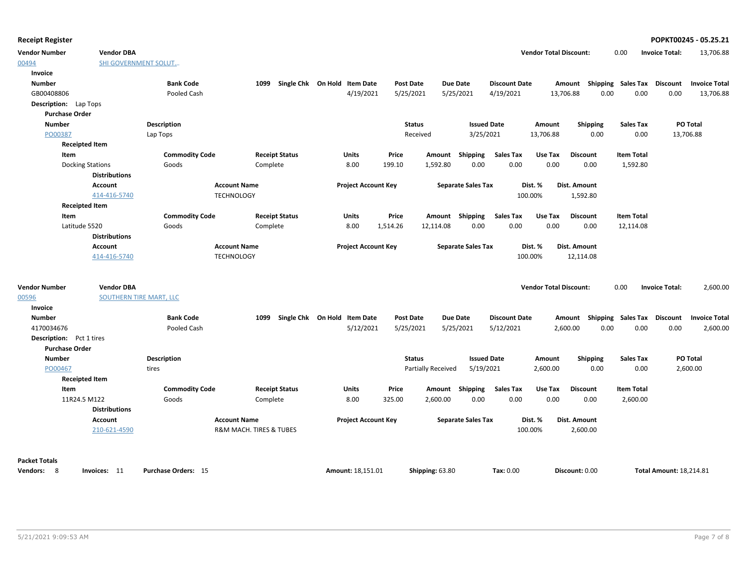| <b>Vendor Number</b>            | <b>Vendor DBA</b>           |                       |                         |                              |                  |                    |                           |                      | <b>Vendor Total Discount:</b> |                                    | 0.00                      | <b>Invoice Total:</b>          | 13,706.88            |
|---------------------------------|-----------------------------|-----------------------|-------------------------|------------------------------|------------------|--------------------|---------------------------|----------------------|-------------------------------|------------------------------------|---------------------------|--------------------------------|----------------------|
| 00494                           | <b>SHI GOVERNMENT SOLUT</b> |                       |                         |                              |                  |                    |                           |                      |                               |                                    |                           |                                |                      |
| Invoice                         |                             |                       |                         |                              |                  |                    |                           |                      |                               |                                    |                           |                                |                      |
| <b>Number</b>                   |                             | <b>Bank Code</b>      | 1099                    | Single Chk On Hold Item Date | <b>Post Date</b> |                    | Due Date                  | <b>Discount Date</b> |                               | Amount Shipping Sales Tax Discount |                           |                                | <b>Invoice Total</b> |
| GB00408806                      |                             | Pooled Cash           |                         | 4/19/2021                    | 5/25/2021        |                    | 5/25/2021                 | 4/19/2021            | 13,706.88                     | 0.00                               | 0.00                      | 0.00                           | 13,706.88            |
| <b>Description:</b> Lap Tops    |                             |                       |                         |                              |                  |                    |                           |                      |                               |                                    |                           |                                |                      |
| <b>Purchase Order</b>           |                             |                       |                         |                              |                  |                    |                           |                      |                               |                                    |                           |                                |                      |
| <b>Number</b>                   |                             | <b>Description</b>    |                         |                              | <b>Status</b>    |                    | <b>Issued Date</b>        |                      | Amount                        | <b>Shipping</b>                    | <b>Sales Tax</b>          | PO Total                       |                      |
| PO00387                         |                             | Lap Tops              |                         |                              |                  | Received           | 3/25/2021                 |                      | 13,706.88                     | 0.00                               | 0.00                      | 13,706.88                      |                      |
| <b>Receipted Item</b>           |                             |                       |                         |                              |                  |                    |                           |                      |                               |                                    |                           |                                |                      |
| Item                            |                             | <b>Commodity Code</b> | <b>Receipt Status</b>   | <b>Units</b>                 | Price            | Amount Shipping    |                           | <b>Sales Tax</b>     | Use Tax                       | <b>Discount</b>                    | <b>Item Total</b>         |                                |                      |
| <b>Docking Stations</b>         |                             | Goods                 | Complete                | 8.00                         | 199.10           | 1,592.80           | 0.00                      | 0.00                 | 0.00                          | 0.00                               | 1,592.80                  |                                |                      |
|                                 | <b>Distributions</b>        |                       |                         |                              |                  |                    |                           |                      |                               |                                    |                           |                                |                      |
|                                 | <b>Account</b>              | <b>Account Name</b>   |                         | <b>Project Account Key</b>   |                  |                    | <b>Separate Sales Tax</b> |                      | Dist. %                       | Dist. Amount                       |                           |                                |                      |
|                                 | 414-416-5740                | <b>TECHNOLOGY</b>     |                         |                              |                  |                    |                           |                      | 100.00%                       | 1,592.80                           |                           |                                |                      |
| <b>Receipted Item</b>           |                             |                       |                         |                              |                  |                    |                           |                      |                               |                                    |                           |                                |                      |
| Item                            |                             | <b>Commodity Code</b> | <b>Receipt Status</b>   | Units                        | Price            | Amount Shipping    |                           | <b>Sales Tax</b>     | Use Tax                       | <b>Discount</b>                    | <b>Item Total</b>         |                                |                      |
| Latitude 5520                   |                             | Goods                 | Complete                | 8.00                         | 1,514.26         | 12,114.08          | 0.00                      | 0.00                 | 0.00                          | 0.00                               | 12,114.08                 |                                |                      |
|                                 | <b>Distributions</b>        |                       |                         |                              |                  |                    |                           |                      |                               |                                    |                           |                                |                      |
|                                 | <b>Account</b>              | <b>Account Name</b>   |                         | <b>Project Account Key</b>   |                  |                    | <b>Separate Sales Tax</b> |                      | Dist. %                       | Dist. Amount                       |                           |                                |                      |
|                                 | 414-416-5740                | <b>TECHNOLOGY</b>     |                         |                              |                  |                    |                           |                      | 100.00%                       | 12,114.08                          |                           |                                |                      |
| <b>Vendor Number</b>            | <b>Vendor DBA</b>           |                       |                         |                              |                  |                    |                           |                      | <b>Vendor Total Discount:</b> |                                    | 0.00                      | <b>Invoice Total:</b>          | 2,600.00             |
| 00596                           | SOUTHERN TIRE MART, LLC     |                       |                         |                              |                  |                    |                           |                      |                               |                                    |                           |                                |                      |
| Invoice                         |                             |                       |                         |                              |                  |                    |                           |                      |                               |                                    |                           |                                |                      |
| <b>Number</b>                   |                             | <b>Bank Code</b>      | 1099                    | Single Chk On Hold Item Date | <b>Post Date</b> |                    | <b>Due Date</b>           | <b>Discount Date</b> |                               | Amount                             | <b>Shipping Sales Tax</b> | <b>Discount</b>                | <b>Invoice Total</b> |
| 4170034676                      |                             | Pooled Cash           |                         | 5/12/2021                    | 5/25/2021        |                    | 5/25/2021                 | 5/12/2021            |                               | 2,600.00<br>0.00                   | 0.00                      | 0.00                           | 2,600.00             |
| <b>Description:</b> Pct 1 tires |                             |                       |                         |                              |                  |                    |                           |                      |                               |                                    |                           |                                |                      |
| <b>Purchase Order</b>           |                             |                       |                         |                              |                  |                    |                           |                      |                               |                                    |                           |                                |                      |
| <b>Number</b>                   |                             | <b>Description</b>    |                         |                              | <b>Status</b>    |                    | <b>Issued Date</b>        |                      | Amount                        | <b>Shipping</b>                    | Sales Tax                 | PO Total                       |                      |
| PO00467                         |                             | tires                 |                         |                              |                  | Partially Received | 5/19/2021                 |                      | 2,600.00                      | 0.00                               | 0.00                      |                                | 2,600.00             |
| <b>Receipted Item</b>           |                             |                       |                         |                              |                  |                    |                           |                      |                               |                                    |                           |                                |                      |
| <b>Item</b>                     |                             | <b>Commodity Code</b> | <b>Receipt Status</b>   | <b>Units</b>                 | Price            | Amount Shipping    |                           | <b>Sales Tax</b>     | Use Tax                       | <b>Discount</b>                    | <b>Item Total</b>         |                                |                      |
| 11R24.5 M122                    | <b>Distributions</b>        | Goods                 | Complete                | 8.00                         | 325.00           | 2,600.00           | 0.00                      | 0.00                 | 0.00                          | 0.00                               | 2,600.00                  |                                |                      |
|                                 | Account                     | <b>Account Name</b>   |                         | <b>Project Account Key</b>   |                  |                    | <b>Separate Sales Tax</b> |                      | Dist. %                       | Dist. Amount                       |                           |                                |                      |
|                                 | 210-621-4590                |                       | R&M MACH. TIRES & TUBES |                              |                  |                    |                           |                      | 100.00%                       | 2,600.00                           |                           |                                |                      |
| <b>Packet Totals</b>            |                             |                       |                         |                              |                  |                    |                           |                      |                               |                                    |                           |                                |                      |
| Vendors: 8                      | Invoices: 11                | Purchase Orders: 15   |                         | Amount: 18,151.01            |                  | Shipping: 63.80    |                           | Tax: 0.00            |                               | Discount: 0.00                     |                           | <b>Total Amount: 18.214.81</b> |                      |